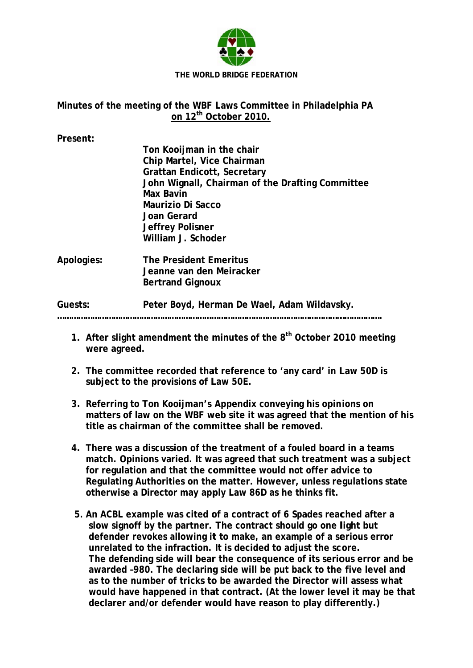

## Minutes of the meeting of the WBF Laws Committee in Philadelphia PA on 12<sup>th</sup> October 2010.

Present:

|            | Ton Kooijman in the chair                        |
|------------|--------------------------------------------------|
|            | Chip Martel, Vice Chairman                       |
|            | <b>Grattan Endicott, Secretary</b>               |
|            | John Wignall, Chairman of the Drafting Committee |
|            | Max Bavin                                        |
|            | Maurizio Di Sacco                                |
|            | Joan Gerard                                      |
|            | <b>Jeffrey Polisner</b>                          |
|            | William J. Schoder                               |
| Apologies: | <b>The President Emeritus</b>                    |
|            | Jeanne van den Meiracker                         |
|            | <b>Bertrand Gignoux</b>                          |

Peter Boyd, Herman De Wael, Adam Wildavsky. Guests:

- 1. After slight amendment the minutes of the 8<sup>th</sup> October 2010 meeting were agreed.
- 2. The committee recorded that reference to 'any card' in Law 50D is subject to the provisions of Law 50E.
- 3. Referring to Ton Kooijman's Appendix conveying his opinions on matters of law on the WBF web site it was agreed that the mention of his title as chairman of the committee shall be removed.
- 4. There was a discussion of the treatment of a fouled board in a teams match. Opinions varied. It was agreed that such treatment was a subject for regulation and that the committee would not offer advice to Regulating Authorities on the matter. However, unless regulations state otherwise a Director may apply Law 86D as he thinks fit.
- 5. An ACBL example was cited of a contract of 6 Spades reached after a slow signoff by the partner. The contract should go one light but defender revokes allowing it to make, an example of a serious error unrelated to the infraction. It is decided to adjust the score. The defending side will bear the consequence of its serious error and be awarded -980. The declaring side will be put back to the five level and as to the number of tricks to be awarded the Director will assess what would have happened in that contract. (At the lower level it may be that declarer and/or defender would have reason to play differently.)